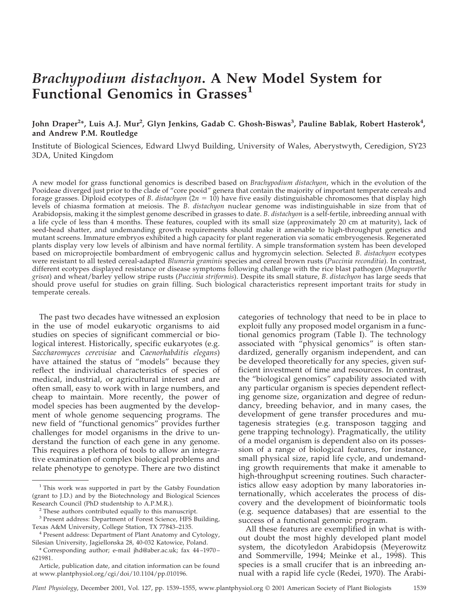# *Brachypodium distachyon***. A New Model System for Functional Genomics in Grasses<sup>1</sup>**

# **John Draper<sup>2</sup> \*, Luis A.J. Mur<sup>2</sup> , Glyn Jenkins, Gadab C. Ghosh-Biswas<sup>3</sup> , Pauline Bablak, Robert Hasterok<sup>4</sup> , and Andrew P.M. Routledge**

Institute of Biological Sciences, Edward Llwyd Building, University of Wales, Aberystwyth, Ceredigion, SY23 3DA, United Kingdom

A new model for grass functional genomics is described based on *Brachypodium distachyon*, which in the evolution of the Pooideae diverged just prior to the clade of "core pooid" genera that contain the majority of important temperate cereals and forage grasses. Diploid ecotypes of *B. distachyon*  $(2n = 10)$  have five easily distinguishable chromosomes that display high levels of chiasma formation at meiosis. The *B*. *distachyon* nuclear genome was indistinguishable in size from that of Arabidopsis, making it the simplest genome described in grasses to date. *B*. *distachyon* is a self-fertile, inbreeding annual with a life cycle of less than 4 months. These features, coupled with its small size (approximately 20 cm at maturity), lack of seed-head shatter, and undemanding growth requirements should make it amenable to high-throughput genetics and mutant screens. Immature embryos exhibited a high capacity for plant regeneration via somatic embryogenesis. Regenerated plants display very low levels of albinism and have normal fertility. A simple transformation system has been developed based on microprojectile bombardment of embryogenic callus and hygromycin selection. Selected *B*. *distachyon* ecotypes were resistant to all tested cereal-adapted *Blumeria graminis* species and cereal brown rusts (*Puccinia reconditia*). In contrast, different ecotypes displayed resistance or disease symptoms following challenge with the rice blast pathogen (*Magnaporthe grisea*) and wheat/barley yellow stripe rusts (*Puccinia striformis*). Despite its small stature, *B*. *distachyon* has large seeds that should prove useful for studies on grain filling. Such biological characteristics represent important traits for study in temperate cereals.

The past two decades have witnessed an explosion in the use of model eukaryotic organisms to aid studies on species of significant commercial or biological interest. Historically, specific eukaryotes (e.g. *Saccharomyces cerevisiae* and *Caenorhabditis elegans*) have attained the status of "models" because they reflect the individual characteristics of species of medical, industrial, or agricultural interest and are often small, easy to work with in large numbers, and cheap to maintain. More recently, the power of model species has been augmented by the development of whole genome sequencing programs. The new field of "functional genomics" provides further challenges for model organisms in the drive to understand the function of each gene in any genome. This requires a plethora of tools to allow an integrative examination of complex biological problems and relate phenotype to genotype. There are two distinct categories of technology that need to be in place to exploit fully any proposed model organism in a functional genomics program (Table I). The technology associated with "physical genomics" is often standardized, generally organism independent, and can be developed theoretically for any species, given sufficient investment of time and resources. In contrast, the "biological genomics" capability associated with any particular organism is species dependent reflecting genome size, organization and degree of redundancy, breeding behavior, and in many cases, the development of gene transfer procedures and mutagenesis strategies (e.g. transposon tagging and gene trapping technology). Pragmatically, the utility of a model organism is dependent also on its possession of a range of biological features, for instance, small physical size, rapid life cycle, and undemanding growth requirements that make it amenable to high-throughput screening routines. Such characteristics allow easy adoption by many laboratories internationally, which accelerates the process of discovery and the development of bioinformatic tools (e.g. sequence databases) that are essential to the success of a functional genomic program.

All these features are exemplified in what is without doubt the most highly developed plant model system, the dicotyledon Arabidopsis (Meyerowitz and Sommerville, 1994; Meinke et al., 1998). This species is a small crucifer that is an inbreeding annual with a rapid life cycle (Redei, 1970). The Arabi-

<sup>&</sup>lt;sup>1</sup> This work was supported in part by the Gatsby Foundation (grant to J.D.) and by the Biotechnology and Biological Sciences Research Council (PhD studentship to A.P.M.R.).

<sup>2</sup> These authors contributed equally to this manuscript.

<sup>&</sup>lt;sup>3</sup> Present address: Department of Forest Science, HFS Building, Texas A&M University, College Station, TX 77843–2135.

<sup>4</sup> Present address: Department of Plant Anatomy and Cytology, Silesian University, Jagiellonska 28, 40-032 Katowice, Poland.

<sup>\*</sup> Corresponding author; e-mail jhd@aber.ac.uk; fax 44–1970– 621981.

Article, publication date, and citation information can be found at www.plantphysiol.org/cgi/doi/10.1104/pp.010196.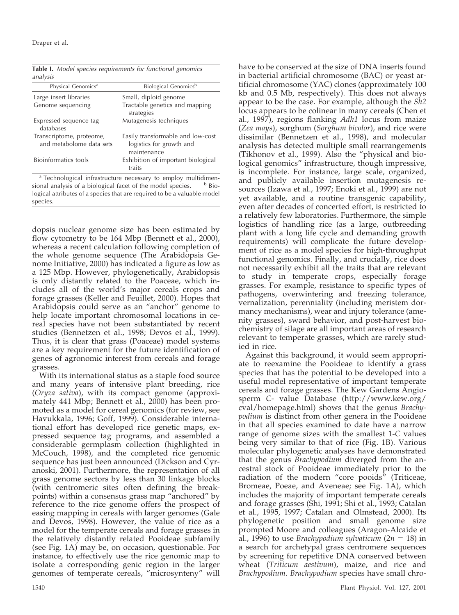| diidiysis                                            |                                                                              |
|------------------------------------------------------|------------------------------------------------------------------------------|
| Physical Genomics <sup>a</sup>                       | Biological Genomics <sup>b</sup>                                             |
| Large insert libraries                               | Small, diploid genome                                                        |
| Genome sequencing                                    | Tractable genetics and mapping<br>strategies                                 |
| Expressed sequence tag<br>databases                  | Mutagenesis techniques                                                       |
| Transcriptome, proteome,<br>and metabolome data sets | Easily transformable and low-cost<br>logistics for growth and<br>maintenance |
| Bioinformatics tools                                 | Exhibition of important biological<br>traits                                 |
|                                                      |                                                                              |

**Table I.** *Model species requirements for functional genomics analysis*

<sup>a</sup> Technological infrastructure necessary to employ multidimensional analysis of a biological facet of the model species.  $\Box$   $\Box$  Biological attributes of a species that are required to be a valuable model species.

dopsis nuclear genome size has been estimated by flow cytometry to be 164 Mbp (Bennett et al., 2000), whereas a recent calculation following completion of the whole genome sequence (The Arabidopsis Genome Initiative, 2000) has indicated a figure as low as a 125 Mbp. However, phylogenetically, Arabidopsis is only distantly related to the Poaceae, which includes all of the world's major cereals crops and forage grasses (Keller and Feuillet, 2000). Hopes that Arabidopsis could serve as an "anchor" genome to help locate important chromosomal locations in cereal species have not been substantiated by recent studies (Bennetzen et al., 1998; Devos et al., 1999). Thus, it is clear that grass (Poaceae) model systems are a key requirement for the future identification of genes of agronomic interest from cereals and forage grasses.

With its international status as a staple food source and many years of intensive plant breeding, rice (*Oryza sativa*), with its compact genome (approximately 441 Mbp; Bennett et al., 2000) has been promoted as a model for cereal genomics (for review, see Havukkala, 1996; Goff, 1999). Considerable international effort has developed rice genetic maps, expressed sequence tag programs, and assembled a considerable germplasm collection (highlighted in McCouch, 1998), and the completed rice genomic sequence has just been announced (Dickson and Cyranoski, 2001). Furthermore, the representation of all grass genome sectors by less than 30 linkage blocks (with centromeric sites often defining the breakpoints) within a consensus grass map "anchored" by reference to the rice genome offers the prospect of easing mapping in cereals with larger genomes (Gale and Devos, 1998). However, the value of rice as a model for the temperate cereals and forage grasses in the relatively distantly related Pooideae subfamily (see Fig. 1A) may be, on occasion, questionable. For instance, to effectively use the rice genomic map to isolate a corresponding genic region in the larger genomes of temperate cereals, "microsynteny" will

have to be conserved at the size of DNA inserts found in bacterial artificial chromosome (BAC) or yeast artificial chromosome (YAC) clones (approximately 100 kb and 0.5 Mb, respectively). This does not always appear to be the case. For example, although the *Sh2* locus appears to be colinear in many cereals (Chen et al., 1997), regions flanking *Adh1* locus from maize (*Zea mays*), sorghum (*Sorghum bicolor*), and rice were dissimilar (Bennetzen et al., 1998), and molecular analysis has detected multiple small rearrangements (Tikhonov et al., 1999). Also the "physical and biological genomics" infrastructure, though impressive, is incomplete. For instance, large scale, organized, and publicly available insertion mutagenesis resources (Izawa et al., 1997; Enoki et al., 1999) are not yet available, and a routine transgenic capability, even after decades of concerted effort, is restricted to a relatively few laboratories. Furthermore, the simple logistics of handling rice (as a large, outbreeding plant with a long life cycle and demanding growth requirements) will complicate the future development of rice as a model species for high-throughput functional genomics. Finally, and crucially, rice does not necessarily exhibit all the traits that are relevant to study in temperate crops, especially forage grasses. For example, resistance to specific types of pathogens, overwintering and freezing tolerance, vernalization, perenniality (including meristem dormancy mechanisms), wear and injury tolerance (amenity grasses), sward behavior, and post-harvest biochemistry of silage are all important areas of research relevant to temperate grasses, which are rarely studied in rice.

Against this background, it would seem appropriate to reexamine the Pooideae to identify a grass species that has the potential to be developed into a useful model representative of important temperate cereals and forage grasses. The Kew Gardens Angiosperm *C*- value Database (http://www.kew.org/ cval/homepage.html) shows that the genus *Brachypodium* is distinct from other genera in the Pooideae in that all species examined to date have a narrow range of genome sizes with the smallest 1-*C* values being very similar to that of rice (Fig. 1B). Various molecular phylogenetic analyses have demonstrated that the genus *Brachypodium* diverged from the ancestral stock of Pooideae immediately prior to the radiation of the modern "core pooids" (Triticeae, Bromeae, Poeae, and Aveneae; see Fig. 1A), which includes the majority of important temperate cereals and forage grasses (Shi, 1991; Shi et al., 1993; Catalan et al., 1995, 1997; Catalan and Olmstead, 2000). Its phylogenetic position and small genome size prompted Moore and colleagues (Aragon-Alcaide et al., 1996) to use *Brachypodium sylvaticum*  $(2n = 18)$  in a search for archetypal grass centromere sequences by screening for repetitive DNA conserved between wheat (*Triticum aestivum*), maize, and rice and *Brachypodium*. *Brachypodium* species have small chro-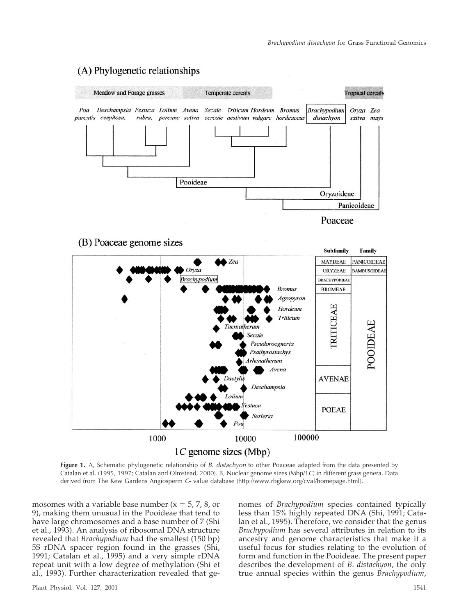

# (A) Phylogenetic relationships

Poaceae

## (B) Poaceae genome sizes



**Figure 1.** A, Schematic phylogenetic relationship of *B*. *distachyon* to other Poaceae adapted from the data presented by Catalan et al. (1995, 1997; Catalan and Olmstead, 2000). B, Nuclear genome sizes (Mbp/1*C*) in different grass genera. Data derived from The Kew Gardens Angiosperm *C*- value database (http://www.rbgkew.org/cval/homepage.html).

mosomes with a variable base number ( $x = 5, 7, 8$ , or 9), making them unusual in the Pooideae that tend to have large chromosomes and a base number of 7 (Shi et al., 1993). An analysis of ribosomal DNA structure revealed that *Brachypodium* had the smallest (150 bp) 5S rDNA spacer region found in the grasses (Shi, 1991; Catalan et al., 1995) and a very simple rDNA repeat unit with a low degree of methylation (Shi et al., 1993). Further characterization revealed that genomes of *Brachypodium* species contained typically less than 15% highly repeated DNA (Shi, 1991; Catalan et al., 1995). Therefore, we consider that the genus *Brachypodium* has several attributes in relation to its ancestry and genome characteristics that make it a useful focus for studies relating to the evolution of form and function in the Pooideae. The present paper describes the development of *B*. *distachyon*, the only true annual species within the genus *Brachypodium*,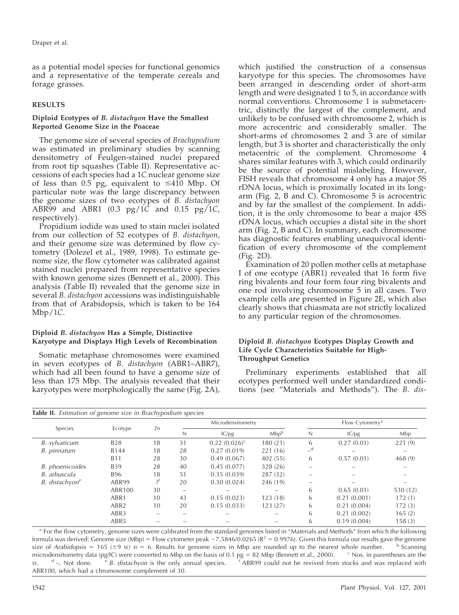as a potential model species for functional genomics and a representative of the temperate cereals and forage grasses.

## **RESULTS**

# **Diploid Ecotypes of** *B. distachyon* **Have the Smallest Reported Genome Size in the Poaceae**

The genome size of several species of *Brachypodium* was estimated in preliminary studies by scanning densitometry of Feulgen-stained nuclei prepared from root tip squashes (Table II). Representative accessions of each species had a 1*C* nuclear genome size of less than 0.5 pg, equivalent to  $\leq 410$  Mbp. Of particular note was the large discrepancy between the genome sizes of two ecotypes of *B*. *distachyon* ABR99 and ABR1 (0.3 pg/1*C* and 0.15 pg/1*C*, respectively).

Propidium iodide was used to stain nuclei isolated from our collection of 52 ecotypes of *B*. *distachyon*, and their genome size was determined by flow cytometry (Dolezel et al., 1989, 1998). To estimate genome size, the flow cytometer was calibrated against stained nuclei prepared from representative species with known genome sizes (Bennett et al., 2000). This analysis (Table II) revealed that the genome size in several *B*. *distachyon* accessions was indistinguishable from that of Arabidopsis, which is taken to be 164 Mbp/1*C*.

# **Diploid** *B. distachyon* **Has a Simple, Distinctive Karyotype and Displays High Levels of Recombination**

Somatic metaphase chromosomes were examined in seven ecotypes of *B*. *distachyon* (ABR1–ABR7), which had all been found to have a genome size of less than 175 Mbp. The analysis revealed that their karyotypes were morphologically the same (Fig. 2A), which justified the construction of a consensus karyotype for this species. The chromosomes have been arranged in descending order of short-arm length and were designated 1 to 5, in accordance with normal conventions. Chromosome 1 is submetacentric, distinctly the largest of the complement, and unlikely to be confused with chromosome 2, which is more acrocentric and considerably smaller. The short-arms of chromosomes 2 and 3 are of similar length, but 3 is shorter and characteristically the only metacentric of the complement. Chromosome 4 shares similar features with 3, which could ordinarily be the source of potential mislabeling. However, FISH reveals that chromosome 4 only has a major 5S rDNA locus, which is proximally located in its longarm (Fig. 2, B and C). Chromosome 5 is acrocentric and by far the smallest of the complement. In addition, it is the only chromosome to bear a major 45S rDNA locus, which occupies a distal site in the short arm (Fig. 2, B and C). In summary, each chromosome has diagnostic features enabling unequivocal identification of every chromosome of the complement (Fig. 2D).

Examination of 20 pollen mother cells at metaphase I of one ecotype (ABR1) revealed that 16 form five ring bivalents and four form four ring bivalents and one rod involving chromosome 5 in all cases. Two example cells are presented in Figure 2E, which also clearly shows that chiasmata are not strictly localized to any particular region of the chromosomes.

## **Diploid** *B. distachyon* **Ecotypes Display Growth and Life Cycle Characteristics Suitable for High-Throughput Genetics**

Preliminary experiments established that all ecotypes performed well under standardized conditions (see "Materials and Methods"). The *B*. *dis-*

| Species                    |                  | 2n | Microdensitometry        |                  |                  | Flow Cytometry <sup>a</sup> |             |          |
|----------------------------|------------------|----|--------------------------|------------------|------------------|-----------------------------|-------------|----------|
|                            | Ecotype          |    | N                        | IC/pg            | Mbp <sup>b</sup> | N                           | IC/pg       | Mbp      |
| B. sylvaticum              | <b>B28</b>       | 18 | 31                       | $0.22~(0.026)^c$ | 180(21)          | 6                           | 0.27(0.01)  | 221(9)   |
| B. pinnatum                | <b>B144</b>      | 18 | 28                       | 0.27(0.019)      | 221(16)          | $-$ <sup>d</sup>            |             |          |
|                            | <b>B11</b>       | 28 | 30                       | 0.49(0.067)      | 402(55)          | 6                           | 0.57(0.01)  | 468(9)   |
| B. phoenicoides            | <b>B39</b>       | 28 | 40                       | 0.45(0.077)      | 328 (26)         |                             |             |          |
| B. arbuscula               | B96              | 18 | 51                       | 0.35(0.039)      | 287 (32)         |                             |             |          |
| B. distachyon <sup>e</sup> | ABR99            | 51 | 20                       | 0.30(0.024)      | 246 (19)         |                             |             |          |
|                            | ABR100           | 30 | $\overline{\phantom{a}}$ |                  |                  | 6                           | 0.65(0.01)  | 530 (12) |
|                            | ABR1             | 10 | 43                       | 0.15(0.023)      | 123(18)          | 6                           | 0.21(0.001) | 172(1)   |
|                            | ABR <sub>2</sub> | 10 | 20                       | 0.15(0.033)      | 123(27)          | 6                           | 0.21(0.004) | 172(3)   |
|                            | ABR <sub>3</sub> |    |                          |                  |                  | 6                           | 0.21(0.002) | 165(2)   |
|                            | ABR <sub>5</sub> |    |                          |                  |                  | 6                           | 0.19(0.004) | 158(3)   |

<sup>a</sup> For the flow cytometry, genome sizes were calibrated from the standard genomes listed in "Materials and Methods" from which the following formula was derived: Genome size (Mbp) = Flow cytometer peak  $-7.5846/0.0265$  ( $R<sup>2</sup> = 0.9976$ ). Given this formula our results gave the genome size of *Arabidopsis* = 165 ( $\pm$ 9 sE) *n* = 6. Results for genome sizes in Mbp are rounded up to the nearest whole number. <sup>b</sup> Scanning microdensitometry data (pg/IC) were converted to Mbp on the basis of 0.1 pg = 82 Mbp (Bennett et al., 2000). <sup>c</sup> Nos. in parentheses are the set of  $\frac{d}{d}$ , Not done. <sup>e</sup> *B. distachyon* is the only annual species. <sup>f</sup> SE. <sup>d</sup> –, Not done. <sup>e</sup> *B. distachyon* is the only annual species. <sup>f</sup> ABR99 could not be revived from stocks and was replaced with ABR100, which had a chromosome complement of 30.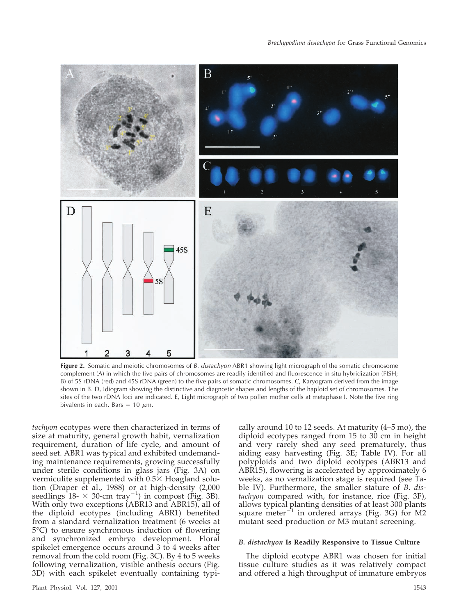

**Figure 2.** Somatic and meiotic chromosomes of *B*. *distachyon* ABR1 showing light micrograph of the somatic chromosome complement (A) in which the five pairs of chromosomes are readily identified and fluorescence in situ hybridization (FISH; B) of 5S rDNA (red) and 45S rDNA (green) to the five pairs of somatic chromosomes. C, Karyogram derived from the image shown in B. D, Idiogram showing the distinctive and diagnostic shapes and lengths of the haploid set of chromosomes. The sites of the two rDNA loci are indicated. E, Light micrograph of two pollen mother cells at metaphase I. Note the five ring bivalents in each. Bars = 10  $\mu$ m.

*tachyon* ecotypes were then characterized in terms of size at maturity, general growth habit, vernalization requirement, duration of life cycle, and amount of seed set. ABR1 was typical and exhibited undemanding maintenance requirements, growing successfully under sterile conditions in glass jars (Fig. 3A) on vermiculite supplemented with  $0.5\times$  Hoagland solution (Draper et al., 1988) or at high-density (2,000 seedlings  $18- \times 30$ -cm tray<sup>-1</sup>) in compost (Fig. 3B). With only two exceptions (ABR13 and ABR15), all of the diploid ecotypes (including ABR1) benefited from a standard vernalization treatment (6 weeks at 5°C) to ensure synchronous induction of flowering and synchronized embryo development. Floral spikelet emergence occurs around 3 to 4 weeks after removal from the cold room (Fig. 3C). By 4 to 5 weeks following vernalization, visible anthesis occurs (Fig. 3D) with each spikelet eventually containing typically around 10 to 12 seeds. At maturity (4–5 mo), the diploid ecotypes ranged from 15 to 30 cm in height and very rarely shed any seed prematurely, thus aiding easy harvesting (Fig. 3E; Table IV). For all polyploids and two diploid ecotypes (ABR13 and ABR15), flowering is accelerated by approximately 6 weeks, as no vernalization stage is required (see Table IV). Furthermore, the smaller stature of *B*. *distachyon* compared with, for instance, rice (Fig. 3F), allows typical planting densities of at least 300 plants square meter<sup>-1</sup> in ordered arrays (Fig. 3G) for M2 mutant seed production or M3 mutant screening.

#### *B. distachyon* **Is Readily Responsive to Tissue Culture**

The diploid ecotype ABR1 was chosen for initial tissue culture studies as it was relatively compact and offered a high throughput of immature embryos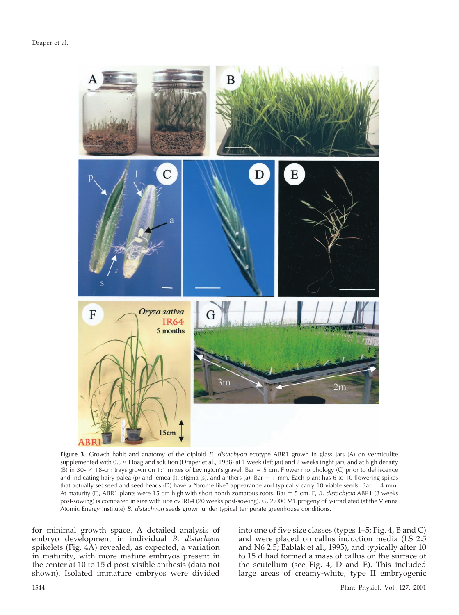

**Figure 3.** Growth habit and anatomy of the diploid *B*. *distachyon* ecotype ABR1 grown in glass jars (A) on vermiculite supplemented with 0.5 X Hoagland solution (Draper et al., 1988) at 1 week (left jar) and 2 weeks (right jar), and at high density (B) in 30- $\times$  18-cm trays grown on 1:1 mixes of Levington's:gravel. Bar = 5 cm. Flower morphology (C) prior to dehiscence and indicating hairy palea (p) and lemea (l), stigma (s), and anthers (a). Bar  $= 1$  mm. Each plant has 6 to 10 flowering spikes that actually set seed and seed heads (D) have a "brome-like" appearance and typically carry 10 viable seeds. Bar = 4 mm. At maturity (E), ABR1 plants were 15 cm high with short nonrhizomatous roots. Bar 5 cm. F, *B*. *distachyon* ABR1 (8 weeks post-sowing) is compared in size with rice cv IR64 (20 weeks post-sowing). G, 2,000 M1 progeny of  $\gamma$ -irradiated (at the Vienna Atomic Energy Institute) *B*. *distachyon* seeds grown under typical temperate greenhouse conditions.

for minimal growth space. A detailed analysis of embryo development in individual *B*. *distachyon* spikelets (Fig. 4A) revealed, as expected, a variation in maturity, with more mature embryos present in the center at 10 to 15 d post-visible anthesis (data not shown). Isolated immature embryos were divided

into one of five size classes (types 1–5; Fig. 4, B and C) and were placed on callus induction media (LS 2.5 and N6 2.5; Bablak et al., 1995), and typically after 10 to 15 d had formed a mass of callus on the surface of the scutellum (see Fig. 4, D and E). This included large areas of creamy-white, type II embryogenic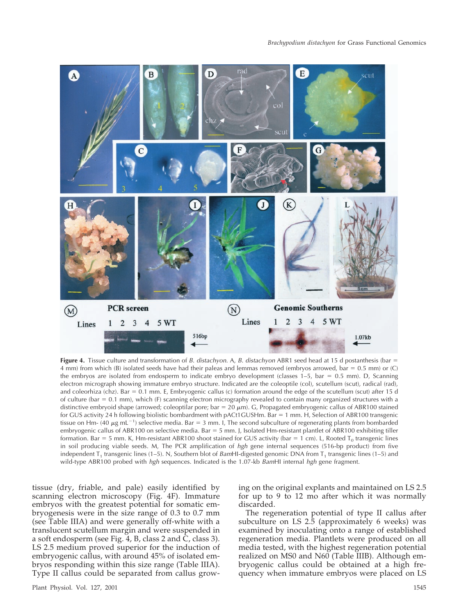

**Figure 4.** Tissue culture and transformation of *B*. *distachyon*. A, *B*. *distachyon* ABR1 seed head at 15 d postanthesis (bar 4 mm) from which (B) isolated seeds have had their paleas and lemmas removed (embryos arrowed, bar  $= 0.5$  mm) or (C) the embryos are isolated from endosperm to indicate embryo development (classes  $1-5$ , bar = 0.5 mm). D, Scanning electron micrograph showing immature embryo structure. Indicated are the coleoptile (col), scutellum (scut), radical (rad), and coleorhiza (chz). Bar  $= 0.1$  mm. E, Embryogenic callus (c) formation around the edge of the scutellum (scut) after 15 d of culture (bar  $= 0.1$  mm), which (F) scanning electron micrography revealed to contain many organized structures with a distinctive embryoid shape (arrowed; coleoptilar pore; bar = 20  $\mu$ m). G, Propagated embryogenic callus of ABR100 stained for GUS activity 24 h following biolistic bombardment with pACt1GUSHm. Bar = 1 mm. H, Selection of ABR100 transgenic tissue on Hm- (40  $\mu$ g mL<sup>-1</sup>) selective media. Bar = 3 mm. I, The second subculture of regenerating plants from bombarded embryogenic callus of ABR100 on selective media. Bar = 5 mm. J, Isolated Hm-resistant plantlet of ABR100 exhibiting tiller formation. Bar = 5 mm. K, Hm-resistant ABR100 shoot stained for GUS activity (bar = 1 cm). L, Rooted T<sub>0</sub> transgenic lines in soil producing viable seeds. M, The PCR amplification of *hgh* gene internal sequences (516-bp product) from five independent  $T_1$  transgenic lines (1–5). N, Southern blot of *Bam*HI-digested genomic DNA from  $T_1$  transgenic lines (1–5) and wild-type ABR100 probed with *hgh* sequences. Indicated is the 1.07-kb *Bam*HI internal *hgh* gene fragment.

tissue (dry, friable, and pale) easily identified by scanning electron microscopy (Fig. 4F). Immature embryos with the greatest potential for somatic embryogenesis were in the size range of 0.3 to 0.7 mm (see Table IIIA) and were generally off-white with a translucent scutellum margin and were suspended in a soft endosperm (see Fig. 4, B, class 2 and C, class 3). LS 2.5 medium proved superior for the induction of embryogenic callus, with around 45% of isolated embryos responding within this size range (Table IIIA). Type II callus could be separated from callus growing on the original explants and maintained on LS 2.5 for up to 9 to 12 mo after which it was normally discarded.

The regeneration potential of type II callus after subculture on LS 2.5 (approximately 6 weeks) was examined by inoculating onto a range of established regeneration media. Plantlets were produced on all media tested, with the highest regeneration potential realized on MS0 and N60 (Table IIIB). Although embryogenic callus could be obtained at a high frequency when immature embryos were placed on LS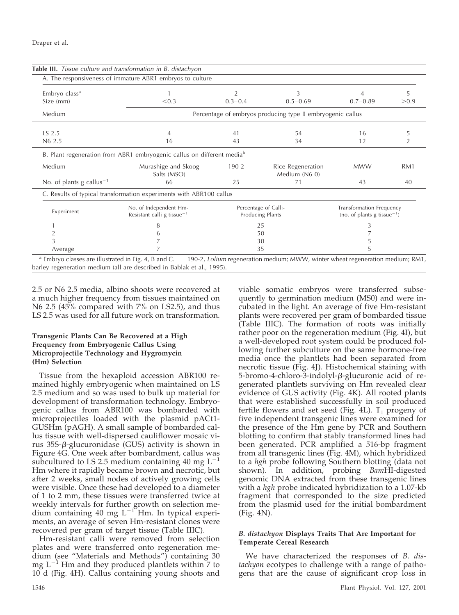|                                      | Table III. Tissue culture and transformation in B. distachyon                      |                                          |                                    |                                                                                         |                 |
|--------------------------------------|------------------------------------------------------------------------------------|------------------------------------------|------------------------------------|-----------------------------------------------------------------------------------------|-----------------|
|                                      | A. The responsiveness of immature ABR1 embryos to culture                          |                                          |                                    |                                                                                         |                 |
| Embryo class <sup>a</sup>            |                                                                                    | $\overline{2}$                           | 3                                  | 4                                                                                       | 5               |
| Size (mm)                            | < 0.3                                                                              | $0.3 - 0.4$                              | $0.5 - 0.69$                       | $0.7 - 0.89$                                                                            | > 0.9           |
| Medium                               | Percentage of embryos producing type II embryogenic callus                         |                                          |                                    |                                                                                         |                 |
| LS 2.5                               | 4                                                                                  | 41                                       | 54                                 | 16                                                                                      | 5               |
| N6 2.5                               | 16                                                                                 | 43                                       | 34                                 | 12                                                                                      | 2               |
|                                      | B. Plant regeneration from ABR1 embryogenic callus on different media <sup>b</sup> |                                          |                                    |                                                                                         |                 |
| Medium                               | Murashige and Skoog<br>Salts (MSO)                                                 | 190-2                                    | Rice Regeneration<br>Medium (N6 0) | <b>MWW</b>                                                                              | RM <sub>1</sub> |
| No. of plants g callus <sup>-1</sup> | 66                                                                                 | 25<br>71                                 |                                    | 43                                                                                      | 40              |
|                                      | C. Results of typical transformation experiments with ABR100 callus                |                                          |                                    |                                                                                         |                 |
| Experiment                           | No. of Independent Hm-<br>Resistant calli g tissue <sup>-1</sup>                   | Percentage of Calli-<br>Producing Plants |                                    | <b>Transformation Frequency</b><br>(no. of plants g tissue <sup><math>-1</math></sup> ) |                 |
|                                      | 8                                                                                  | 25                                       |                                    | 3                                                                                       |                 |
|                                      | h                                                                                  | 50                                       |                                    |                                                                                         |                 |
| 3                                    |                                                                                    | 30                                       |                                    | 5                                                                                       |                 |
| Average                              |                                                                                    | 35                                       |                                    | 5                                                                                       |                 |

<sup>a</sup> Embryo classes are illustrated in Fig. 4, B and C. 190-2, *Lolium* regeneration medium; MWW, winter wheat regeneration medium; RM1, barley regeneration medium (all are described in Bablak et al., 1995).

2.5 or N6 2.5 media, albino shoots were recovered at a much higher frequency from tissues maintained on N6 2.5 (45% compared with 7% on LS2.5), and thus LS 2.5 was used for all future work on transformation.

## **Transgenic Plants Can Be Recovered at a High Frequency from Embryogenic Callus Using Microprojectile Technology and Hygromycin (Hm) Selection**

Tissue from the hexaploid accession ABR100 remained highly embryogenic when maintained on LS 2.5 medium and so was used to bulk up material for development of transformation technology. Embryogenic callus from ABR100 was bombarded with microprojectiles loaded with the plasmid pACt1- GUSHm (pAGH). A small sample of bombarded callus tissue with well-dispersed cauliflower mosaic virus 35S-β-glucuronidase (GUS) activity is shown in Figure 4G. One week after bombardment, callus was subcultured to LS 2.5 medium containing 40 mg L<sup>-1</sup> Hm where it rapidly became brown and necrotic, but after 2 weeks, small nodes of actively growing cells were visible. Once these had developed to a diameter of 1 to 2 mm, these tissues were transferred twice at weekly intervals for further growth on selection medium containing 40 mg  $L^{-1}$ Hm. In typical experiments, an average of seven Hm-resistant clones were recovered per gram of target tissue (Table IIIC).

Hm-resistant calli were removed from selection plates and were transferred onto regeneration medium (see "Materials and Methods") containing 30 mg  $L^{-1}$  Hm and they produced plantlets within  $\overline{7}$  to 10 d (Fig. 4H). Callus containing young shoots and

quently to germination medium (MS0) and were incubated in the light. An average of five Hm-resistant plants were recovered per gram of bombarded tissue (Table IIIC). The formation of roots was initially rather poor on the regeneration medium (Fig. 4I), but a well-developed root system could be produced following further subculture on the same hormone-free media once the plantlets had been separated from necrotic tissue (Fig. 4J). Histochemical staining with  $5$ -bromo-4-chloro- $3$ -indolyl- $\beta$ -glucuronic acid of regenerated plantlets surviving on Hm revealed clear evidence of GUS activity (Fig. 4K). All rooted plants that were established successfully in soil produced fertile flowers and set seed (Fig. 4L).  $T_1$  progeny of five independent transgenic lines were examined for the presence of the Hm gene by PCR and Southern blotting to confirm that stably transformed lines had been generated. PCR amplified a 516-bp fragment from all transgenic lines (Fig. 4M), which hybridized to a *hgh* probe following Southern blotting (data not shown). In addition, probing *Bam*HI-digested genomic DNA extracted from these transgenic lines with a *hgh* probe indicated hybridization to a 1.07-kb fragment that corresponded to the size predicted from the plasmid used for the initial bombardment (Fig. 4N).

viable somatic embryos were transferred subse-

## *B. distachyon* **Displays Traits That Are Important for Temperate Cereal Research**

We have characterized the responses of *B*. *distachyon* ecotypes to challenge with a range of pathogens that are the cause of significant crop loss in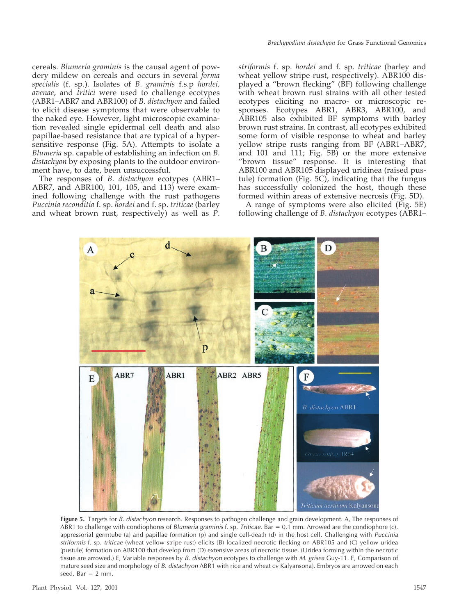cereals. *Blumeria graminis* is the causal agent of powdery mildew on cereals and occurs in several *forma specialis* (f. sp.). Isolates of *B*. *graminis* f.s.p *hordei, avenae*, and *tritici* were used to challenge ecotypes (ABR1–ABR7 and ABR100) of *B*. *distachyon* and failed to elicit disease symptoms that were observable to the naked eye. However, light microscopic examination revealed single epidermal cell death and also papillae-based resistance that are typical of a hypersensitive response (Fig. 5A). Attempts to isolate a *Blumeria* sp. capable of establishing an infection on *B*. *distachyon* by exposing plants to the outdoor environment have, to date, been unsuccessful.

The responses of *B*. *distachyon* ecotypes (ABR1– ABR7, and ABR100, 101, 105, and 113) were examined following challenge with the rust pathogens *Puccinia reconditia* f. sp. *hordei* and f. sp. *triticae* (barley and wheat brown rust, respectively) as well as  $\dot{P}$ .

*striformis* f. sp. *hordei* and f. sp. *triticae* (barley and wheat yellow stripe rust, respectively). ABR100 displayed a "brown flecking" (BF) following challenge with wheat brown rust strains with all other tested ecotypes eliciting no macro- or microscopic responses. Ecotypes ABR1, ABR3, ABR100, and ABR105 also exhibited BF symptoms with barley brown rust strains. In contrast, all ecotypes exhibited some form of visible response to wheat and barley yellow stripe rusts ranging from BF (ABR1–ABR7, and 101 and 111; Fig. 5B) or the more extensive "brown tissue" response. It is interesting that ABR100 and ABR105 displayed uridinea (raised pustule) formation (Fig. 5C), indicating that the fungus has successfully colonized the host, though these formed within areas of extensive necrosis (Fig. 5D).

A range of symptoms were also elicited (Fig. 5E) following challenge of *B*. *distachyon* ecotypes (ABR1–



**Figure 5.** Targets for *B*. *distachyon* research. Responses to pathogen challenge and grain development. A, The responses of ABR1 to challenge with condiophores of *Blumeria graminis* f. sp. *Triticae*. Bar 0.1 mm. Arrowed are the condiophore (c), appressorial germtube (a) and papillae formation (p) and single cell-death (d) in the host cell. Challenging with *Puccinia striformis* f. sp. *triticae* (wheat yellow stripe rust) elicits (B) localized necrotic flecking on ABR105 and (C) yellow uridea (pustule) formation on ABR100 that develop from (D) extensive areas of necrotic tissue. (Uridea forming within the necrotic tissue are arrowed.) E, Variable responses by *B*. *distachyon* ecotypes to challenge with *M*. *grisea* Guy-11. F, Comparison of mature seed size and morphology of *B*. *distachyon* ABR1 with rice and wheat cv Kalyansona). Embryos are arrowed on each seed. Bar  $= 2$  mm.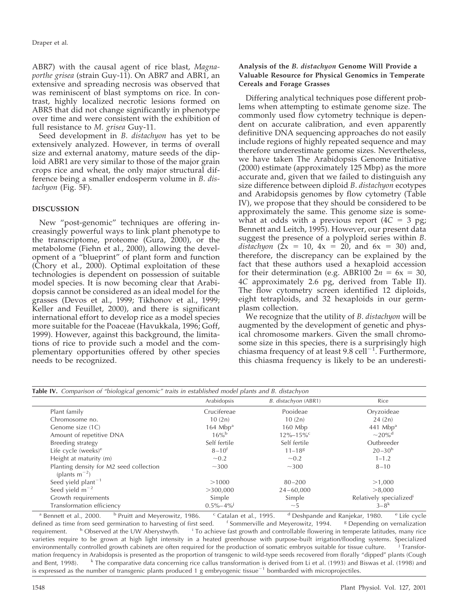ABR7) with the causal agent of rice blast, *Magnaporthe grisea* (strain Guy-11). On ABR7 and ABR1, an extensive and spreading necrosis was observed that was reminiscent of blast symptoms on rice. In contrast, highly localized necrotic lesions formed on ABR5 that did not change significantly in phenotype over time and were consistent with the exhibition of full resistance to *M*. *grisea* Guy-11.

Seed development in *B*. *distachyon* has yet to be extensively analyzed. However, in terms of overall size and external anatomy, mature seeds of the diploid ABR1 are very similar to those of the major grain crops rice and wheat, the only major structural difference being a smaller endosperm volume in *B*. *distachyon* (Fig. 5F).

## **DISCUSSION**

New "post-genomic" techniques are offering increasingly powerful ways to link plant phenotype to the transcriptome, proteome (Gura, 2000), or the metabolome (Fiehn et al., 2000), allowing the development of a "blueprint" of plant form and function (Chory et al., 2000). Optimal exploitation of these technologies is dependent on possession of suitable model species. It is now becoming clear that Arabidopsis cannot be considered as an ideal model for the grasses (Devos et al., 1999; Tikhonov et al., 1999; Keller and Feuillet, 2000), and there is significant international effort to develop rice as a model species more suitable for the Poaceae (Havukkala, 1996; Goff, 1999). However, against this background, the limitations of rice to provide such a model and the complementary opportunities offered by other species needs to be recognized.

## **Analysis of the** *B. distachyon* **Genome Will Provide a Valuable Resource for Physical Genomics in Temperate Cereals and Forage Grasses**

Differing analytical techniques pose different problems when attempting to estimate genome size. The commonly used flow cytometry technique is dependent on accurate calibration, and even apparently definitive DNA sequencing approaches do not easily include regions of highly repeated sequence and may therefore underestimate genome sizes. Nevertheless, we have taken The Arabidopsis Genome Initiative (2000) estimate (approximately 125 Mbp) as the more accurate and, given that we failed to distinguish any size difference between diploid *B*. *distachyon* ecotypes and Arabidopsis genomes by flow cytometry (Table IV), we propose that they should be considered to be approximately the same. This genome size is somewhat at odds with a previous report  $(4C = 3 \text{ pg})$ ; Bennett and Leitch, 1995). However, our present data suggest the presence of a polyploid series within *B*. *distachyon* ( $2x = 10$ ,  $4x = 20$ , and  $6x = 30$ ) and, therefore, the discrepancy can be explained by the fact that these authors used a hexaploid accession for their determination (e.g. ABR100  $2n = 6x = 30$ , 4*C* approximately 2.6 pg, derived from Table II). The flow cytometry screen identified 12 diploids, eight tetraploids, and 32 hexaploids in our germplasm collection.

We recognize that the utility of *B*. *distachyon* will be augmented by the development of genetic and physical chromosome markers. Given the small chromosome size in this species, there is a surprisingly high chiasma frequency of at least 9.8  $\text{cell}^{-1}$ . Furthermore, this chiasma frequency is likely to be an underesti-

| Table IV. Comparison of "biological genomic" traits in established model plants and B. distachyon |                        |                      |                                     |  |  |
|---------------------------------------------------------------------------------------------------|------------------------|----------------------|-------------------------------------|--|--|
|                                                                                                   | Arabidopsis            | B. distachyon (ABR1) | Rice                                |  |  |
| Plant family                                                                                      | Crucifereae            | Pooideae             | Orvzoideae                          |  |  |
| Chromosome no.                                                                                    | 10(2n)                 | 10(2n)               | 24(2n)                              |  |  |
| Genome size (1C)                                                                                  | $164$ Mbp <sup>a</sup> | $160$ Mbp            | $441$ Mbp <sup>a</sup>              |  |  |
| Amount of repetitive DNA                                                                          | $16\%^{\rm b}$         | $12\% - 15\%$        | $\sim$ 20% <sup>d</sup>             |  |  |
| Breeding strategy                                                                                 | Self fertile           | Self fertile         | Outbreeder                          |  |  |
| Life cycle (weeks) <sup>e</sup>                                                                   | $8 - 10^{t}$           | $11 - 188$           | $20 - 30^{h}$                       |  |  |
| Height at maturity (m)                                                                            | $~1$ – 0.2             | $\sim 0.2$           | $1 - 1.2$                           |  |  |
| Planting density for M2 seed collection<br>(plants $m^{-2}$ )                                     | $\sim$ 300             | $\sim$ 300           | $8 - 10$                            |  |  |
| Seed yield $plan-1$                                                                               | >1000                  | $80 - 200$           | >1,000                              |  |  |
| Seed yield $m^{-2}$                                                                               | >300,000               | $24 - 60,000$        | >8,000                              |  |  |
| Growth requirements                                                                               | Simple                 | Simple               | Relatively specialized <sup>i</sup> |  |  |
| Transformation efficiency                                                                         | $0.5\% - 4\%$          | ~1                   | $3 - 8^k$                           |  |  |

<sup>a</sup> Bennett et al., 2000. <sup>b</sup> Pruitt and Meyerowitz, 1986. <sup>c</sup> Catalan et al., 1995. <sup>d</sup> Deshpande and Ranjekar, 1980. <sup>e</sup> Life cycle defined as time from seed germination to harvesting of first seed. <sup>f</sup> Sommerville and Meyerowitz, 1994. <sup>8</sup> Depending on vernalization requirement. h Observed at the UW Aberystwyth. i To achieve fast growth and controllable flowering in temperate latitudes, many rice varieties require to be grown at high light intensity in a heated greenhouse with purpose-built irrigation/flooding systems. Specialized environmentally controlled growth cabinets are often required for the production of somatic embryos suitable for tissue culture. <sup>j</sup> Transformation frequency in Arabidopsis is presented as the proportion of transgenic to wild-type seeds recovered from florally "dipped" plants (Cough and Bent, 1998). <sup>k</sup> The comparative data concerning rice callus transformation is derived from Li et al. (1993) and Biswas et al. (1998) and is expressed as the number of transgenic plants produced 1 g embryogenic tissue<sup>-1</sup> bombarded with microprojectiles.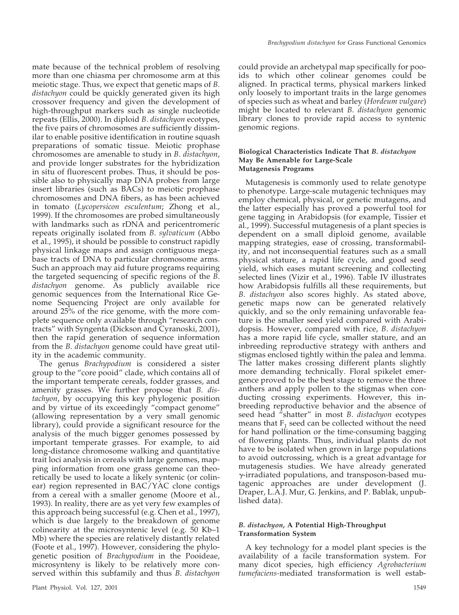mate because of the technical problem of resolving more than one chiasma per chromosome arm at this meiotic stage. Thus, we expect that genetic maps of *B*. *distachyon* could be quickly generated given its high crossover frequency and given the development of high-throughput markers such as single nucleotide repeats (Ellis, 2000). In diploid *B*. *distachyon* ecotypes, the five pairs of chromosomes are sufficiently dissimilar to enable positive identification in routine squash preparations of somatic tissue. Meiotic prophase chromosomes are amenable to study in *B*. *distachyon*, and provide longer substrates for the hybridization in situ of fluorescent probes. Thus, it should be possible also to physically map DNA probes from large insert libraries (such as BACs) to meiotic prophase chromosomes and DNA fibers, as has been achieved in tomato (*Lycopersicon esculentum*; Zhong et al., 1999). If the chromosomes are probed simultaneously with landmarks such as rDNA and pericentromeric repeats originally isolated from *B*. *sylvaticum* (Abbo et al., 1995), it should be possible to construct rapidly physical linkage maps and assign contiguous megabase tracts of DNA to particular chromosome arms. Such an approach may aid future programs requiring the targeted sequencing of specific regions of the *B*. *distachyon* genome. As publicly available rice genomic sequences from the International Rice Genome Sequencing Project are only available for around 25% of the rice genome, with the more complete sequence only available through "research contracts" with Syngenta (Dickson and Cyranoski, 2001), then the rapid generation of sequence information from the *B*. *distachyon* genome could have great utility in the academic community.

The genus *Brachypodium* is considered a sister group to the "core pooid" clade, which contains all of the important temperate cereals, fodder grasses, and amenity grasses. We further propose that *B*. *distachyon*, by occupying this key phylogenic position and by virtue of its exceedingly "compact genome" (allowing representation by a very small genomic library), could provide a significant resource for the analysis of the much bigger genomes possessed by important temperate grasses. For example, to aid long-distance chromosome walking and quantitative trait loci analysis in cereals with large genomes, mapping information from one grass genome can theoretically be used to locate a likely syntenic (or colinear) region represented in BAC/YAC clone contigs from a cereal with a smaller genome (Moore et al., 1993). In reality, there are as yet very few examples of this approach being successful (e.g. Chen et al., 1997), which is due largely to the breakdown of genome colinearity at the microsyntenic level (e.g. 50 Kb–1 Mb) where the species are relatively distantly related (Foote et al., 1997). However, considering the phylogenetic position of *Brachypodium* in the Pooideae, microsynteny is likely to be relatively more conserved within this subfamily and thus *B*. *distachyon*

could provide an archetypal map specifically for pooids to which other colinear genomes could be aligned. In practical terms, physical markers linked only loosely to important traits in the large genomes of species such as wheat and barley (*Hordeum vulgare*) might be located to relevant *B*. *distachyon* genomic library clones to provide rapid access to syntenic genomic regions.

#### **Biological Characteristics Indicate That** *B. distachyon* **May Be Amenable for Large-Scale Mutagenesis Programs**

Mutagenesis is commonly used to relate genotype to phenotype. Large-scale mutagenic techniques may employ chemical, physical, or genetic mutagens, and the latter especially has proved a powerful tool for gene tagging in Arabidopsis (for example, Tissier et al., 1999). Successful mutagenesis of a plant species is dependent on a small diploid genome, available mapping strategies, ease of crossing, transformability, and not inconsequential features such as a small physical stature, a rapid life cycle, and good seed yield, which eases mutant screening and collecting selected lines (Vizir et al., 1996). Table IV illustrates how Arabidopsis fulfills all these requirements, but *B*. *distachyon* also scores highly. As stated above, genetic maps now can be generated relatively quickly, and so the only remaining unfavorable feature is the smaller seed yield compared with Arabidopsis. However, compared with rice, *B*. *distachyon* has a more rapid life cycle, smaller stature, and an inbreeding reproductive strategy with anthers and stigmas enclosed tightly within the palea and lemma. The latter makes crossing different plants slightly more demanding technically. Floral spikelet emergence proved to be the best stage to remove the three anthers and apply pollen to the stigmas when conducting crossing experiments. However, this inbreeding reproductive behavior and the absence of seed head "shatter" in most *B*. *distachyon* ecotypes means that  $F_1$  seed can be collected without the need for hand pollination or the time-consuming bagging of flowering plants. Thus, individual plants do not have to be isolated when grown in large populations to avoid outcrossing, which is a great advantage for mutagenesis studies. We have already generated -irradiated populations, and transposon-based mutagenic approaches are under development (J. Draper, L.A.J. Mur, G. Jenkins, and P. Bablak, unpublished data).

#### *B. distachyon***, A Potential High-Throughput Transformation System**

A key technology for a model plant species is the availability of a facile transformation system. For many dicot species, high efficiency *Agrobacterium tumefaciens-*mediated transformation is well estab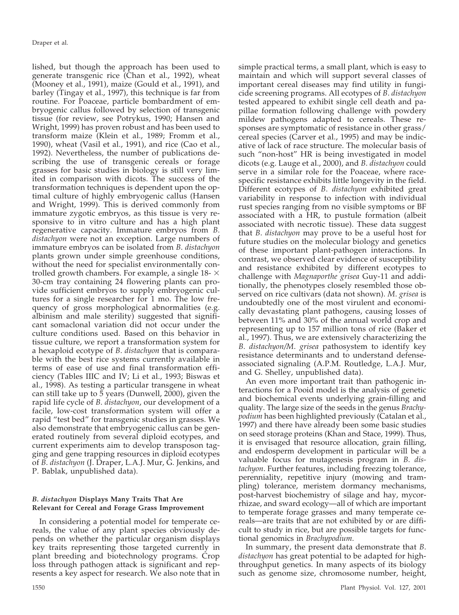lished, but though the approach has been used to generate transgenic rice (Chan et al., 1992), wheat (Mooney et al., 1991), maize (Gould et al., 1991), and barley (Tingay et al., 1997), this technique is far from routine. For Poaceae, particle bombardment of embryogenic callus followed by selection of transgenic tissue (for review, see Potrykus, 1990; Hansen and Wright, 1999) has proven robust and has been used to transform maize (Klein et al., 1989; Fromm et al., 1990), wheat (Vasil et al., 1991), and rice (Cao et al., 1992). Nevertheless, the number of publications describing the use of transgenic cereals or forage grasses for basic studies in biology is still very limited in comparison with dicots. The success of the transformation techniques is dependent upon the optimal culture of highly embryogenic callus (Hansen and Wright, 1999). This is derived commonly from immature zygotic embryos, as this tissue is very responsive to in vitro culture and has a high plant regenerative capacity. Immature embryos from *B*. *distachyon* were not an exception. Large numbers of immature embryos can be isolated from *B*. *distachyon* plants grown under simple greenhouse conditions, without the need for specialist environmentally controlled growth chambers. For example, a single  $18- \times$ 30-cm tray containing 24 flowering plants can provide sufficient embryos to supply embryogenic cultures for a single researcher for 1 mo. The low frequency of gross morphological abnormalities (e.g. albinism and male sterility) suggested that significant somaclonal variation did not occur under the culture conditions used. Based on this behavior in tissue culture, we report a transformation system for a hexaploid ecotype of *B*. *distachyon* that is comparable with the best rice systems currently available in terms of ease of use and final transformation efficiency (Tables IIIC and IV; Li et al., 1993; Biswas et al., 1998). As testing a particular transgene in wheat can still take up to  $\bar{5}$  years (Dunwell, 2000), given the rapid life cycle of *B*. *distachyon*, our development of a facile, low-cost transformation system will offer a rapid "test bed" for transgenic studies in grasses. We also demonstrate that embryogenic callus can be generated routinely from several diploid ecotypes, and current experiments aim to develop transposon tagging and gene trapping resources in diploid ecotypes of *B*. *distachyon* (J. Draper, L.A.J. Mur, G. Jenkins, and P. Bablak, unpublished data).

## *B. distachyon* **Displays Many Traits That Are Relevant for Cereal and Forage Grass Improvement**

In considering a potential model for temperate cereals, the value of any plant species obviously depends on whether the particular organism displays key traits representing those targeted currently in plant breeding and biotechnology programs. Crop loss through pathogen attack is significant and represents a key aspect for research. We also note that in

simple practical terms, a small plant, which is easy to maintain and which will support several classes of important cereal diseases may find utility in fungicide screening programs. All ecotypes of *B*. *distachyon* tested appeared to exhibit single cell death and papillae formation following challenge with powdery mildew pathogens adapted to cereals. These responses are symptomatic of resistance in other grass/ cereal species (Carver et al., 1995) and may be indicative of lack of race structure. The molecular basis of such "non-host" HR is being investigated in model dicots (e.g. Lauge et al., 2000), and *B*. *distachyon* could serve in a similar role for the Poaceae, where racespecific resistance exhibits little longevity in the field. Different ecotypes of *B*. *distachyon* exhibited great variability in response to infection with individual rust species ranging from no visible symptoms or BF associated with a HR, to pustule formation (albeit associated with necrotic tissue). These data suggest that *B*. *distachyon* may prove to be a useful host for future studies on the molecular biology and genetics of these important plant-pathogen interactions. In contrast, we observed clear evidence of susceptibility and resistance exhibited by different ecotypes to challenge with *Magnaporthe grisea* Guy-11 and additionally, the phenotypes closely resembled those observed on rice cultivars (data not shown). *M*. *grisea* is undoubtedly one of the most virulent and economically devastating plant pathogens, causing losses of between 11% and 30% of the annual world crop and representing up to 157 million tons of rice (Baker et al., 1997). Thus, we are extensively characterizing the *B*. *distachyon/M*. *grisea* pathosystem to identify key resistance determinants and to understand defenseassociated signaling (A.P.M. Routledge, L.A.J. Mur, and G. Shelley, unpublished data).

An even more important trait than pathogenic interactions for a Pooid model is the analysis of genetic and biochemical events underlying grain-filling and quality. The large size of the seeds in the genus *Brachypodium* has been highlighted previously (Catalan et al., 1997) and there have already been some basic studies on seed storage proteins (Khan and Stace, 1999). Thus, it is envisaged that resource allocation, grain filling, and endosperm development in particular will be a valuable focus for mutagenesis program in *B*. *distachyon*. Further features, including freezing tolerance, perenniality, repetitive injury (mowing and trampling) tolerance, meristem dormancy mechanisms, post-harvest biochemistry of silage and hay, mycorrhizae, and sward ecology—all of which are important to temperate forage grasses and many temperate cereals—are traits that are not exhibited by or are difficult to study in rice, but are possible targets for functional genomics in *Brachypodium*.

In summary, the present data demonstrate that *B*. *distachyon* has great potential to be adapted for highthroughput genetics. In many aspects of its biology such as genome size, chromosome number, height,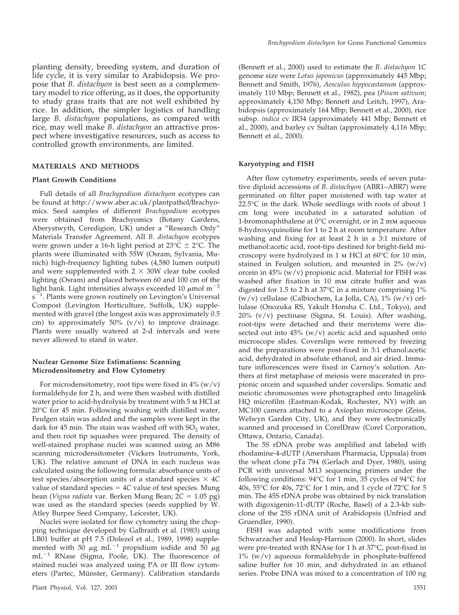planting density, breeding system, and duration of life cycle, it is very similar to Arabidopsis. We propose that *B*. *distachyon* is best seen as a complementary model to rice offering, as it does, the opportunity to study grass traits that are not well exhibited by rice. In addition, the simpler logistics of handling large *B*. *distachyon* populations, as compared with rice, may well make *B*. *distachyon* an attractive prospect where investigative resources, such as access to controlled growth environments, are limited.

#### **MATERIALS AND METHODS**

#### **Plant Growth Conditions**

Full details of all *Brachypodium distachyon* ecotypes can be found at http://www.aber.ac.uk/plantpathol*/*Brachyomics. Seed samples of different *Brachypodium* ecotypes were obtained from Brachyomics (Botany Gardens, Aberystwyth, Ceredigion, UK) under a "Research Only" Materials Transfer Agreement. All *B*. *distachyon* ecotypes were grown under a 16-h light period at  $23^{\circ}C \pm 2^{\circ}C$ . The plants were illuminated with 55W (Osram, Sylvania, Munich) high-frequency lighting tubes (4,580 lumen output) and were supplemented with  $2 \times 30W$  clear tube cooled lighting (Osram) and placed between 60 and 100 cm of the light bank. Light intensities always exceeded 10  $\mu$ mol m<sup>-2</sup> s<sup>-1</sup>. Plants were grown routinely on Levington's Universal Compost (Levington Horticulture, Suffolk, UK) supplemented with gravel (the longest axis was approximately 0.5 cm) to approximately  $50\%$  (v/v) to improve drainage. Plants were usually watered at 2-d intervals and were never allowed to stand in water.

#### **Nuclear Genome Size Estimations: Scanning Microdensitometry and Flow Cytometry**

For microdensitometry, root tips were fixed in  $4\%$  (w/v) formaldehyde for 2 h, and were then washed with distilled water prior to acid-hydrolysis by treatment with 5 m HCl at 20°C for 45 min. Following washing with distilled water, Feulgen stain was added and the samples were kept in the dark for 45 min. The stain was washed off with  $SO<sub>2</sub>$  water, and then root tip squashes were prepared. The density of well-stained prophase nuclei was scanned using an M86 scanning microdensitometer (Vickers Instruments, York, UK). The relative amount of DNA in each nucleus was calculated using the following formula: absorbance units of test species/absorption units of a standard species  $\times$  4*C* value of standard species  $= 4C$  value of test species. Mung bean (*Vigna radiata* var. Berken Mung Bean; 2*C* = 1.05 pg) was used as the standard species (seeds supplied by W. Atley Burpee Seed Company, Leicester, UK).

Nuclei were isolated for flow cytometry using the chopping technique developed by Galbraith et al. (1983) using LB01 buffer at pH 7.5 (Dolezel et al., 1989, 1998) supplemented with 50  $\mu$ g mL<sup>-1</sup> propidium iodide and 50  $\mu$ g mL-<sup>1</sup> RNase (Sigma, Poole, UK). The fluorescence of stained nuclei was analyzed using PA or III flow cytometers (Partec, Münster, Germany). Calibration standards (Bennett et al., 2000) used to estimate the *B*. *distachyon* 1*C* genome size were *Lotus japonicus* (approximately 445 Mbp; Bennett and Smith, 1976), *Aesculus hippocastanum* (approximately 110 Mbp; Bennett et al., 1982), pea (*Pisum sativum*; approximately 4,150 Mbp; Bennett and Leitch, 1997), Arabidopsis (approximately 164 Mbp; Bennett et al., 2000), rice subsp. *indica* cv IR34 (approximately 441 Mbp; Bennett et al., 2000), and barley cv Sultan (approximately 4,116 Mbp; Bennett et al., 2000).

#### **Karyotyping and FISH**

After flow cytometry experiments, seeds of seven putative diploid accessions of *B*. *distachyon* (ABR1–ABR7) were germinated on filter paper moistened with tap water at 22.5°C in the dark. Whole seedlings with roots of about 1 cm long were incubated in a saturated solution of 1-bromonaphthalene at 0°C overnight, or in 2 mm aqueous 8-hydroxyquinoline for 1 to 2 h at room temperature. After washing and fixing for at least 2 h in a 3:1 mixture of methanol:acetic acid, root-tips destined for bright-field microscopy were hydrolyzed in 1 m HCl at 60°C for 10 min, stained in Feulgen solution, and mounted in  $2\%$  (w/v) orcein in 45% (w/v) propionic acid. Material for FISH was washed after fixation in 10 mm citrate buffer and was digested for 1.5 to 2 h at 37°C in a mixture comprising 1% (w/v) cellulase (Calbiochem, La Jolla, CA), 1% (w/v) cellulase (Onozuka RS, Yakult Honsha C. Ltd., Tokyo), and 20% (v/v) pectinase (Sigma, St. Louis). After washing, root-tips were detached and their meristems were dissected out into  $45\%$  (w/v) acetic acid and squashed onto microscope slides. Coverslips were removed by freezing and the preparations were post-fixed in 3:1 ethanol:acetic acid, dehydrated in absolute ethanol, and air dried. Immature inflorescences were fixed in Carnoy's solution. Anthers at first metaphase of meiosis were macerated in propionic orcein and squashed under coverslips. Somatic and meiotic chromosomes were photographed onto Imagelink HQ microfilm (Eastman-Kodak, Rochester, NY) with an MC100 camera attached to a Axioplan microscope (Zeiss, Welwyn Garden City, UK), and they were electronically scanned and processed in CorelDraw (Corel Corporation, Ottawa, Ontario, Canada).

The 5S rDNA probe was amplified and labeled with rhodamine-4-dUTP (Amersham Pharmacia, Uppsala) from the wheat clone pTa 794 (Gerlach and Dyer, 1980), using PCR with universal M13 sequencing primers under the following conditions: 94°C for 1 min, 35 cycles of 94°C for 40s, 55°C for 40s, 72°C for 1 min, and 1 cycle of 72°C for 5 min. The 45S rDNA probe was obtained by nick translation with digoxigenin-11-dUTP (Roche, Basel) of a 2.3-kb subclone of the 25S rDNA unit of Arabidopsis (Unfried and Gruendler, 1990).

FISH was adapted with some modifications from Schwarzacher and Heslop-Harrison (2000). In short, slides were pre-treated with RNAse for 1 h at 37°C, post-fixed in 1% (w/v) aqueous formaldehyde in phosphate-buffered saline buffer for 10 min, and dehydrated in an ethanol series. Probe DNA was mixed to a concentration of 100 ng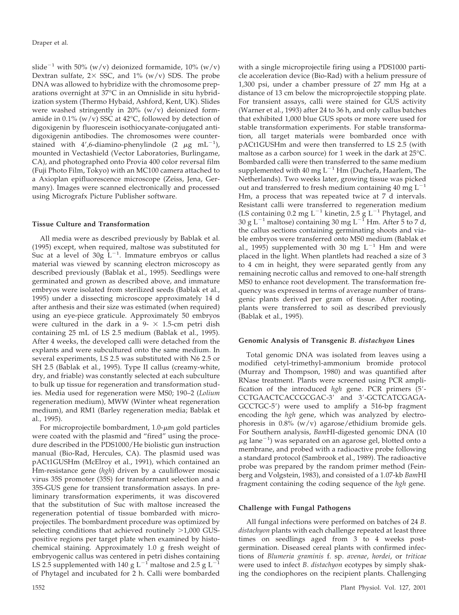#### Draper et al.

slide<sup>-1</sup> with 50% (w/v) deionized formamide, 10% (w/v) Dextran sulfate,  $2 \times$  SSC, and  $1\%$  (w/v) SDS. The probe DNA was allowed to hybridize with the chromosome preparations overnight at 37°C in an Omnislide in situ hybridization system (Thermo Hybaid, Ashford, Kent, UK). Slides were washed stringently in  $20\%$  (w/v) deionized formamide in 0.1% ( $w/v$ ) SSC at 42°C, followed by detection of digoxigenin by fluorescein isothiocyanate-conjugated antidigoxigenin antibodies. The chromosomes were counterstained with 4',6-diamino-phenylindole  $(2 \mu g m L^{-1})$ , mounted in Vectashield (Vector Laboratories, Burlingame, CA), and photographed onto Provia 400 color reversal film (Fuji Photo Film, Tokyo) with an MC100 camera attached to a Axioplan epifluorescence microscope (Zeiss, Jena, Germany). Images were scanned electronically and processed using Micrografx Picture Publisher software.

## **Tissue Culture and Transformation**

All media were as described previously by Bablak et al. (1995) except, when required, maltose was substituted for Suc at a level of 30g  $\rm L^{-1}$ . Immature embryos or callus material was viewed by scanning electron microscopy as described previously (Bablak et al., 1995). Seedlings were germinated and grown as described above, and immature embryos were isolated from sterilized seeds (Bablak et al., 1995) under a dissecting microscope approximately 14 d after anthesis and their size was estimated (when required) using an eye-piece graticule. Approximately 50 embryos were cultured in the dark in a 9-  $\times$  1.5-cm petri dish containing 25 mL of LS 2.5 medium (Bablak et al., 1995). After 4 weeks, the developed calli were detached from the explants and were subcultured onto the same medium. In several experiments, LS 2.5 was substituted with N6 2.5 or SH 2.5 (Bablak et al., 1995). Type II callus (creamy-white, dry, and friable) was constantly selected at each subculture to bulk up tissue for regeneration and transformation studies. Media used for regeneration were MS0; 190–2 (*Lolium* regeneration medium), MWW (Winter wheat regeneration medium), and RM1 (Barley regeneration media; Bablak et al.*,* 1995).

For microprojectile bombardment, 1.0- $\mu$ m gold particles were coated with the plasmid and "fired" using the procedure described in the PDS1000/He biolistic gun instruction manual (Bio-Rad, Hercules, CA). The plasmid used was pACt1GUSHm (McElroy et al., 1991), which contained an Hm-resistance gene (*hgh*) driven by a cauliflower mosaic virus 35S promoter (35S) for transformant selection and a 35S-GUS gene for transient transformation assays. In preliminary transformation experiments, it was discovered that the substitution of Suc with maltose increased the regeneration potential of tissue bombarded with microprojectiles. The bombardment procedure was optimized by selecting conditions that achieved routinely  $>1,000$  GUSpositive regions per target plate when examined by histochemical staining. Approximately 1.0 g fresh weight of embryogenic callus was centered in petri dishes containing LS 2.5 supplemented with 140 g L<sup>-1</sup> maltose and 2.5 g L<sup>-1</sup> of Phytagel and incubated for 2 h. Calli were bombarded

with a single microprojectile firing using a PDS1000 particle acceleration device (Bio-Rad) with a helium pressure of 1,300 psi, under a chamber pressure of 27 mm Hg at a distance of 13 cm below the microprojectile stopping plate. For transient assays, calli were stained for GUS activity (Warner et al., 1993) after 24 to 36 h, and only callus batches that exhibited 1,000 blue GUS spots or more were used for stable transformation experiments. For stable transformation, all target materials were bombarded once with pACt1GUSHm and were then transferred to LS 2.5 (with maltose as a carbon source) for 1 week in the dark at 25°C. Bombarded calli were then transferred to the same medium supplemented with 40 mg  $\text{L}^{-1}$  Hm (Duchefa, Haarlem, The Netherlands). Two weeks later, growing tissue was picked out and transferred to fresh medium containing 40 mg  $L^{-1}$ Hm, a process that was repeated twice at 7 d intervals. Resistant calli were transferred to regeneration medium (LS containing 0.2 mg L<sup>-1</sup> kinetin, 2.5  $\mathrm{g}$  L<sup>-1</sup> Phytagel, and 30 g L<sup>-1</sup> maltose) containing 30 mg L<sup>-1</sup> Hm. After 5 to 7 d, the callus sections containing germinating shoots and viable embryos were transferred onto MS0 medium (Bablak et al., 1995) supplemented with 30 mg  $L^{-1}$  Hm and were placed in the light. When plantlets had reached a size of 3 to 4 cm in height, they were separated gently from any remaining necrotic callus and removed to one-half strength MS0 to enhance root development. The transformation frequency was expressed in terms of average number of transgenic plants derived per gram of tissue. After rooting, plants were transferred to soil as described previously (Bablak et al., 1995).

## **Genomic Analysis of Transgenic** *B. distachyon* **Lines**

Total genomic DNA was isolated from leaves using a modified cetyl-trimethyl-ammonium bromide protocol (Murray and Thompson, 1980) and was quantified after RNase treatment. Plants were screened using PCR amplification of the introduced *hgh* gene. PCR primers (5- CCTGAACTCACCGCGAC-3' and 3'-GCTCATCGAGA-GCCTGC-5) were used to amplify a 516-bp fragment encoding the *hgh* gene, which was analyzed by electrophoresis in  $0.8\%$  (w/v) agarose/ethidium bromide gels. For Southern analysis, *Bam*HI-digested genomic DNA (10  $\mu$ g lane<sup>-1</sup>) was separated on an agarose gel, blotted onto a membrane, and probed with a radioactive probe following a standard protocol (Sambrook et al., 1989). The radioactive probe was prepared by the random primer method (Feinberg and Volgstein, 1983), and consisted of a 1.07-kb *Bam*HI fragment containing the coding sequence of the *hgh* gene.

## **Challenge with Fungal Pathogens**

All fungal infections were performed on batches of 24 *B*. *distachyon* plants with each challenge repeated at least three times on seedlings aged from 3 to 4 weeks postgermination. Diseased cereal plants with confirmed infections of *Blumeria graminis* f. sp. *avenae*, *hordei*, or *triticae* were used to infect *B*. *distachyon* ecotypes by simply shaking the condiophores on the recipient plants. Challenging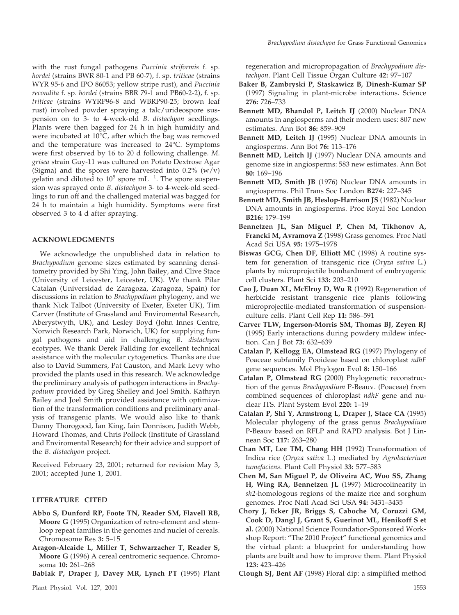with the rust fungal pathogens *Puccinia striformis* f. sp. *hordei* (strains BWR 80-1 and PB 60-7), f. sp. *triticae* (strains WYR 95-6 and IPO 86053; yellow stripe rust), and *Puccinia recondita* f. sp. *hordei* (strains BBR 79-1 and PB60-2-2), f. sp. *triticae* (strains WYRP96-8 and WBRP90-25; brown leaf rust) involved powder spraying a talc/urideospore suspension on to 3- to 4-week-old *B*. *distachyon* seedlings. Plants were then bagged for 24 h in high humidity and were incubated at 10°C, after which the bag was removed and the temperature was increased to 24°C. Symptoms were first observed by 16 to 20 d following challenge. *M*. *grisea* strain Guy-11 was cultured on Potato Dextrose Agar (Sigma) and the spores were harvested into  $0.2\%$  (w/v) gelatin and diluted to  $10^5$  spore mL<sup>-1</sup>. The spore suspension was sprayed onto *B*. *distachyon* 3- to 4-week-old seedlings to run off and the challenged material was bagged for 24 h to maintain a high humidity. Symptoms were first observed 3 to 4 d after spraying.

#### **ACKNOWLEDGMENTS**

We acknowledge the unpublished data in relation to *Brachypodium* genome sizes estimated by scanning densitometry provided by Shi Ying, John Bailey, and Clive Stace (University of Leicester, Leicester, UK). We thank Pilar Catalan (Universidad de Zaragoza, Zaragoza, Spain) for discussions in relation to *Brachypodium* phylogeny, and we thank Nick Talbot (University of Exeter, Exeter UK), Tim Carver (Institute of Grassland and Enviromental Research, Aberystwyth, UK), and Lesley Boyd (John Innes Centre, Norwich Research Park, Norwich, UK) for supplying fungal pathogens and aid in challenging *B*. *distachyon* ecotypes. We thank Derek Fallding for excellent technical assistance with the molecular cytogenetics. Thanks are due also to David Summers, Pat Causton, and Mark Levy who provided the plants used in this research. We acknowledge the preliminary analysis of pathogen interactions in *Brachypodium* provided by Greg Shelley and Joel Smith. Kathryn Bailey and Joel Smith provided assistance with optimization of the transformation conditions and preliminary analysis of transgenic plants. We would also like to thank Danny Thorogood, Ian King, Iain Donnison, Judith Webb, Howard Thomas, and Chris Pollock (Institute of Grassland and Enviromental Research) for their advice and support of the *B*. *distachyon* project.

Received February 23, 2001; returned for revision May 3, 2001; accepted June 1, 2001.

## **LITERATURE CITED**

- **Abbo S, Dunford RP, Foote TN, Reader SM, Flavell RB, Moore G** (1995) Organization of retro-element and stemloop repeat families in the genomes and nuclei of cereals. Chromosome Res **3:** 5–15
- **Aragon-Alcaide L, Miller T, Schwarzacher T, Reader S, Moore G** (1996) A cereal centromeric sequence. Chromosoma **10:** 261–268

**Bablak P, Draper J, Davey MR, Lynch PT** (1995) Plant

regeneration and micropropagation of *Brachypodium distachyon*. Plant Cell Tissue Organ Culture **42:** 97–107

- **Baker B, Zambryski P, Staskawicz B, Dinesh-Kumar SP** (1997) Signaling in plant-microbe interactions. Science **276:** 726–733
- **Bennett MD, Bhandol P, Leitch IJ** (2000) Nuclear DNA amounts in angiosperms and their modern uses: 807 new estimates. Ann Bot **86:** 859–909
- **Bennett MD, Leitch IJ** (1995) Nuclear DNA amounts in angiosperms. Ann Bot **76:** 113–176
- **Bennett MD, Leitch IJ** (1997) Nuclear DNA amounts and genome size in angiosperms: 583 new estimates. Ann Bot **80:** 169–196
- **Bennett MD, Smith JB** (1976) Nuclear DNA amounts in angiosperms. Phil Trans Soc London **B274:** 227–345
- **Bennett MD, Smith JB, Heslop-Harrison JS** (1982) Nuclear DNA amounts in angiosperms. Proc Royal Soc London **B216:** 179–199
- **Bennetzen JL, San Miguel P, Chen M, Tikhonov A, Francki M, Avramova Z** (1998) Grass genomes. Proc Natl Acad Sci USA **95:** 1975–1978
- **Biswas GCG, Chen DF, Elliott MC** (1998) A routine system for generation of transgenic rice (*Oryza sativa* L.) plants by microprojectile bombardment of embryogenic cell clusters. Plant Sci **133:** 203–210
- **Cao J, Duan XL, McElroy D, Wu R** (1992) Regeneration of herbicide resistant transgenic rice plants following microprojectile-mediated transformation of suspensionculture cells. Plant Cell Rep **11:** 586–591
- **Carver TLW, Ingerson-Morris SM, Thomas BJ, Zeyen RJ** (1995) Early interactions during powdery mildew infection. Can J Bot **73:** 632–639
- **Catalan P, Kellogg EA, Olmstead RG** (1997) Phylogeny of Poaceae subfamily Pooideae based on chloroplast *ndhF* gene sequences. Mol Phylogen Evol **8:** 150–166
- **Catalan P, Olmstead RG** (2000) Phylogenetic reconstruction of the genus *Brachypodium* P-Beauv. (Poaceae) from combined sequences of chloroplast *ndhF* gene and nuclear ITS. Plant System Evol **220:** 1–19
- **Catalan P, Shi Y, Armstrong L, Draper J, Stace CA** (1995) Molecular phylogeny of the grass genus *Brachypodium* P-Beauv based on RFLP and RAPD analysis. Bot J Linnean Soc **117:** 263–280
- **Chan MT, Lee TM, Chang HH** (1992) Transformation of Indica rice (*Oryza sativa* L.) mediated by *Agrobacterium tumefaciens*. Plant Cell Physiol **33:** 577–583
- **Chen M, San Miguel P, de Oliveira AC, Woo SS, Zhang H, Wing RA, Bennetzen JL** (1997) Microcolinearity in *sh2*-homologous regions of the maize rice and sorghum genomes. Proc Natl Acad Sci USA **94:** 3431–3435
- **Chory J, Ecker JR, Briggs S, Caboche M, Coruzzi GM, Cook D, Dangl J, Grant S, Guerinot ML, Henikoff S et al.** (2000) National Science Foundation-Sponsored Workshop Report: "The 2010 Project" functional genomics and the virtual plant: a blueprint for understanding how plants are built and how to improve them. Plant Physiol **123:** 423–426
- **Clough SJ, Bent AF** (1998) Floral dip: a simplified method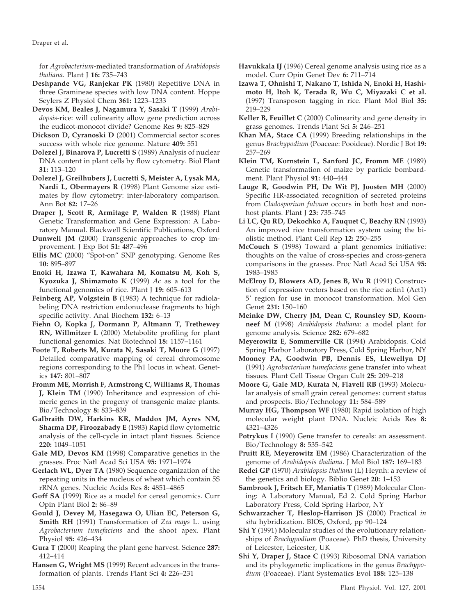Draper et al.

for *Agrobacterium*-mediated transformation of *Arabidopsis thaliana*. Plant J **16:** 735–743

- **Deshpande VG, Ranjekar PK** (1980) Repetitive DNA in three Gramineae species with low DNA content. Hoppe Seylers Z Physiol Chem **361:** 1223–1233
- **Devos KM, Beales J, Nagamura Y, Sasaki T** (1999) *Arabidopsis*-rice: will colinearity allow gene prediction across the eudicot-monocot divide? Genome Res **9:** 825–829
- **Dickson D, Cyranoski D** (2001) Commercial sector scores success with whole rice genome. Nature **409:** 551
- **Dolezel J, Binarova P, Lucretti S** (1989) Analysis of nuclear DNA content in plant cells by flow cytometry. Biol Plant **31:** 113–120
- **Dolezel J, Greilhubers J, Lucretti S, Meister A, Lysak MA, Nardi L, Obermayers R** (1998) Plant Genome size estimates by flow cytometry: inter-laboratory comparison. Ann Bot **82:** 17–26
- **Draper J, Scott R, Armitage P, Walden R** (1988) Plant Genetic Transformation and Gene Expression: A Laboratory Manual. Blackwell Scientific Publications, Oxford
- **Dunwell JM** (2000) Transgenic approaches to crop improvement. J Exp Bot **51:** 487–496
- **Ellis MC** (2000) "Spot-on" SNP genotyping. Genome Res **10:** 895–897
- **Enoki H, Izawa T, Kawahara M, Komatsu M, Koh S, Kyozuka J, Shimamoto K** (1999) *Ac* as a tool for the functional genomics of rice. Plant J **19:** 605–613
- **Feinberg AP, Volgstein B** (1983) A technique for radiolabeling DNA restriction endonuclease fragments to high specific activity. Anal Biochem **132:** 6–13
- **Fiehn O, Kopka J, Dormann P, Altmann T, Trethewey RN, Willmitzer L** (2000) Metabolite profiling for plant functional genomics. Nat Biotechnol **18:** 1157–1161
- **Foote T, Roberts M, Kurata N, Sasaki T, Moore G** (1997) Detailed comparative mapping of cereal chromosome regions corresponding to the Ph1 locus in wheat. Genetics **147:** 801–807
- **Fromm ME, Morrish F, Armstrong C, Williams R, Thomas J, Klein TM** (1990) Inheritance and expression of chimeric genes in the progeny of transgenic maize plants. Bio/Technology **8:** 833–839
- **Galbraith DW, Harkins KR, Maddox JM, Ayres NM, Sharma DP, Firoozabady E** (1983) Rapid flow cytometric analysis of the cell-cycle in intact plant tissues. Science **220:** 1049–1051
- **Gale MD, Devos KM** (1998) Comparative genetics in the grasses. Proc Natl Acad Sci USA **95:** 1971–1974
- **Gerlach WL, Dyer TA** (1980) Sequence organization of the repeating units in the nucleus of wheat which contain 5S rRNA genes. Nucleic Acids Res **8:** 4851–4865
- **Goff SA** (1999) Rice as a model for cereal genomics. Curr Opin Plant Biol **2:** 86–89
- **Gould J, Devey M, Hasegawa O, Ulian EC, Peterson G, Smith RH** (1991) Transformation of *Zea mays* L. using *Agrobacterium tumefaciens* and the shoot apex. Plant Physiol **95:** 426–434
- **Gura T** (2000) Reaping the plant gene harvest. Science **287:** 412–414
- **Hansen G, Wright MS** (1999) Recent advances in the transformation of plants. Trends Plant Sci **4:** 226–231
- **Havukkala IJ** (1996) Cereal genome analysis using rice as a model. Curr Opin Genet Dev **6:** 711–714
- **Izawa T, Ohnishi T, Nakano T, Ishida N, Enoki H, Hashimoto H, Itoh K, Terada R, Wu C, Miyazaki C et al.** (1997) Transposon tagging in rice. Plant Mol Biol **35:** 219–229
- **Keller B, Feuillet C** (2000) Colinearity and gene density in grass genomes. Trends Plant Sci **5:** 246–251
- **Khan MA, Stace CA** (1999) Breeding relationships in the genus *Brachypodium* (Poaceae: Pooideae). Nordic J Bot **19:** 257–269
- **Klein TM, Kornstein L, Sanford JC, Fromm ME** (1989) Genetic transformation of maize by particle bombardment. Plant Physiol **91:** 440–444
- **Lauge R, Goodwin PH, De Wit PJ, Joosten MH** (2000) Specific HR-associated recognition of secreted proteins from *Cladosporium fulvum* occurs in both host and nonhost plants. Plant J **23:** 735–745
- **Li LC, Qu RD, Dekochko A, Fauquet C, Beachy RN** (1993) An improved rice transformation system using the biolistic method. Plant Cell Rep **12:** 250–255
- **McCouch S** (1998) Toward a plant genomics initiative: thoughts on the value of cross-species and cross-genera comparisons in the grasses. Proc Natl Acad Sci USA **95:** 1983–1985
- **McElroy D, Blowers AD, Jenes B, Wu R** (1991) Construction of expression vectors based on the rice actin1 (Act1) 5 region for use in monocot transformation. Mol Gen Genet **231:** 150–160
- **Meinke DW, Cherry JM, Dean C, Rounsley SD, Koornneef M** (1998) *Arabidopsis thaliana*: a model plant for genome analysis. Science **282:** 679–682
- **Meyerowitz E, Sommerville CR** (1994) Arabidopsis. Cold Spring Harbor Laboratory Press, Cold Spring Harbor, NY
- **Mooney PA, Goodwin PB, Dennis ES, Llewellyn DJ** (1991) *Agrobacterium tumefaciens* gene transfer into wheat tissues. Plant Cell Tissue Organ Cult **25:** 209–218
- **Moore G, Gale MD, Kurata N, Flavell RB** (1993) Molecular analysis of small grain cereal genomes: current status and prospects. Bio/Technology **11:** 584–589
- **Murray HG, Thompson WF** (1980) Rapid isolation of high molecular weight plant DNA. Nucleic Acids Res **8:** 4321–4326
- **Potrykus I** (1990) Gene transfer to cereals: an assessment. Bio/Technology **8:** 535–542
- **Pruitt RE, Meyerowitz EM** (1986) Characterization of the genome of *Arabidopsis thaliana*. J Mol Biol **187:** 169–183
- **Redei GP** (1970) *Arabidopsis thaliana* (L) Heynh: a review of the genetics and biology. Biblio Genet **20:** 1–153
- **Sambrook J, Fritsch EF, Maniatis T** (1989) Molecular Cloning: A Laboratory Manual, Ed 2. Cold Spring Harbor Laboratory Press, Cold Spring Harbor, NY
- **Schwarzacher T, Heslop-Harrison JS** (2000) Practical *in situ* hybridization. BIOS, Oxford, pp 90–124
- **Shi Y** (1991) Molecular studies of the evolutionary relationships of *Brachypodium* (Poaceae). PhD thesis, University of Leicester, Leicester, UK
- **Shi Y, Draper J, Stace C** (1993) Ribosomal DNA variation and its phylogenetic implications in the genus *Brachypodium* (Poaceae). Plant Systematics Evol **188:** 125–138